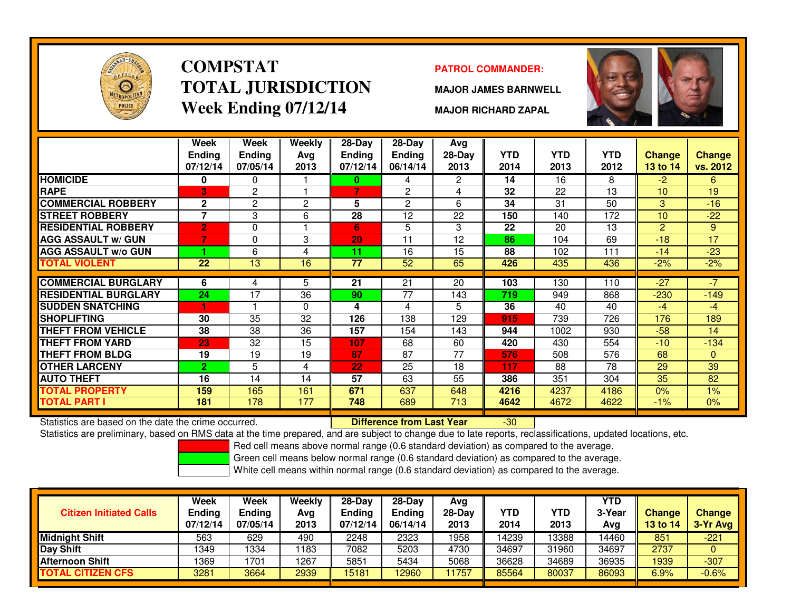

#### **COMPSTATTOTAL JURISDICTIONWeek Ending 07/12/14**

#### **PATROL COMMANDER:**

**MAJOR JAMES BARNWELL**



**MAJOR RICHARD ZAPAL**

|                                                      | Week<br><b>Ending</b><br>07/12/14 | Week<br><b>Ending</b><br>07/05/14 | <b>Weekly</b><br>Avg<br>2013 | $28 - Day$<br>Ending<br>07/12/14 | $28 - Day$<br><b>Ending</b><br>06/14/14 | Avg<br>28-Day<br>2013 | <b>YTD</b><br>2014 | <b>YTD</b><br>2013 | <b>YTD</b><br>2012 | <b>Change</b><br><b>13 to 14</b> | <b>Change</b><br>vs. 2012 |
|------------------------------------------------------|-----------------------------------|-----------------------------------|------------------------------|----------------------------------|-----------------------------------------|-----------------------|--------------------|--------------------|--------------------|----------------------------------|---------------------------|
| <b>HOMICIDE</b>                                      | 0                                 | 0                                 |                              | 0                                | 4                                       | $\overline{2}$        | 14                 | 16                 | 8                  | $-2$                             | 6                         |
| <b>RAPE</b>                                          | 3                                 | $\overline{2}$                    |                              | 7                                | $\overline{2}$                          | 4                     | 32                 | 22                 | 13                 | 10                               | 19                        |
| <b>COMMERCIAL ROBBERY</b>                            | $\mathbf{2}$                      | 2                                 | 2                            | 5                                | 2                                       | 6                     | 34                 | 31                 | 50                 | 3                                | $-16$                     |
| <b>STREET ROBBERY</b>                                | 7                                 | 3                                 | 6                            | 28                               | 12                                      | 22                    | 150                | 140                | 172                | 10                               | $-22$                     |
| <b>RESIDENTIAL ROBBERY</b>                           | $\overline{2}$                    | 0                                 |                              | 6                                | 5                                       | 3                     | 22                 | 20                 | 13                 | 2                                | 9                         |
| <b>AGG ASSAULT w/ GUN</b>                            |                                   | 0                                 | 3                            | 20                               | 11                                      | 12                    | 86                 | 104                | 69                 | $-18$                            | 17                        |
| <b>AGG ASSAULT w/o GUN</b>                           |                                   | 6                                 | 4                            | 11                               | 16                                      | 15                    | 88                 | 102                | 111                | $-14$                            | $-23$                     |
| <b>TOTAL VIOLENT</b>                                 | $\overline{22}$                   | 13                                | 16                           | $\overline{77}$                  | 52                                      | 65                    | 426                | 435                | 436                | $-2\%$                           | $-2%$                     |
| <b>COMMERCIAL BURGLARY</b>                           | 6                                 |                                   | 5                            | 21                               | 21                                      | 20                    |                    |                    | 110                | $-27$                            | $-7$                      |
|                                                      |                                   | 4                                 |                              |                                  |                                         |                       | 103                | 130                |                    |                                  |                           |
| <b>RESIDENTIAL BURGLARY</b>                          | 24                                | 17                                | 36                           | 90                               | 77                                      | 143                   | 719                | 949                | 868                | $-230$                           | $-149$                    |
| <b>SUDDEN SNATCHING</b>                              | 4                                 |                                   | $\Omega$                     | 4                                | 4                                       | 5                     | 36                 | 40                 | 40                 | $-4$                             | $-4$                      |
| <b>SHOPLIFTING</b>                                   | 30                                | 35                                | 32                           | 126                              | 138                                     | 129                   | 915                | 739                | 726                | 176                              | 189                       |
| <b>THEFT FROM VEHICLE</b>                            | 38                                | 38                                | 36                           | 157                              | 154                                     | 143                   | 944                | 1002               | 930                | $-58$                            | 14                        |
| <b>THEFT FROM YARD</b>                               | 23                                | 32                                | 15                           | 107                              | 68                                      | 60                    | 420                | 430                | 554                | $-10$                            | $-134$                    |
| <b>THEFT FROM BLDG</b>                               | 19                                | 19                                | 19                           | 87                               | 87                                      | 77                    | 576                | 508                | 576                | 68                               | $\mathbf{0}$              |
| <b>OTHER LARCENY</b>                                 | $\overline{2}$                    | 5                                 | 4                            | 22                               | 25                                      | 18                    | 117                | 88                 | 78                 | 29                               | 39                        |
| <b>AUTO THEFT</b>                                    | 16                                | 14                                | 14                           | 57                               | 63                                      | 55                    | 386                | 351                | 304                | 35                               | 82                        |
| <b>TOTAL PROPERTY</b>                                | 159                               | 165                               | 161                          | 671                              | 637                                     | 648                   | 4216               | 4237               | 4186               | 0%                               | 1%                        |
| <b>TOTAL PART I</b>                                  | 181                               | 178                               | 177                          | 748                              | 689                                     | 713                   | 4642               | 4672               | 4622               | $-1\%$                           | 0%                        |
| Statistics are based on the date the crime occurred. |                                   |                                   |                              |                                  | <b>Difference from Last Year</b>        |                       | $-30$              |                    |                    |                                  |                           |

Statistics are based on the date the crime occurred. **Difference from Last Year** 

Statistics are preliminary, based on RMS data at the time prepared, and are subject to change due to late reports, reclassifications, updated locations, etc.

Red cell means above normal range (0.6 standard deviation) as compared to the average.

Green cell means below normal range (0.6 standard deviation) as compared to the average.

| <b>Citizen Initiated Calls</b> | Week<br>Ending<br>07/12/14 | <b>Week</b><br><b>Ending</b><br>07/05/14 | <b>Weekly</b><br>Avg<br>2013 | $28 - Day$<br><b>Ending</b><br>07/12/14 | $28 - Day$<br><b>Ending</b><br>06/14/14 | Avg<br>$28-Day$<br>2013 | YTD<br>2014 | YTD<br>2013 | <b>YTD</b><br>3-Year<br>Avg | <b>Change</b><br><b>13 to 14</b> | <b>Change</b><br>3-Yr Avg |
|--------------------------------|----------------------------|------------------------------------------|------------------------------|-----------------------------------------|-----------------------------------------|-------------------------|-------------|-------------|-----------------------------|----------------------------------|---------------------------|
| <b>Midnight Shift</b>          | 563                        | 629                                      | 490                          | 2248                                    | 2323                                    | 1958                    | 14239       | 3388        | 14460                       | 851                              | $-221$                    |
| <b>Day Shift</b>               | 1349                       | 1334                                     | 1183                         | 7082                                    | 5203                                    | 4730                    | 34697       | 31960       | 34697                       | 2737                             | 0                         |
| Afternoon Shift                | 1369                       | 1701                                     | 1267                         | 5851                                    | 5434                                    | 5068                    | 36628       | 34689       | 36935                       | 1939                             | $-307$                    |
| <b>CITIZEN CFS</b><br>TOTAL    | 3281                       | 3664                                     | 2939                         | 15181                                   | 12960                                   | 1757                    | 85564       | 80037       | 86093                       | 6.9%                             | $-0.6%$                   |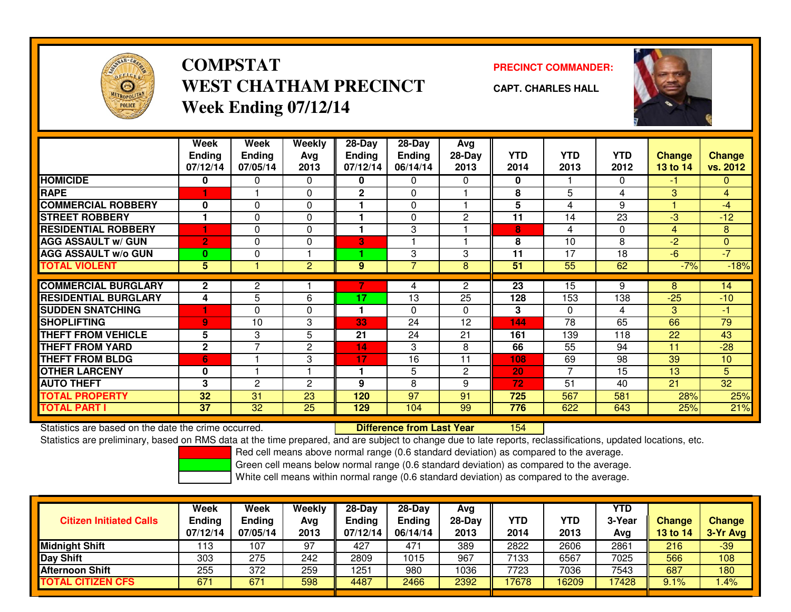

## **COMPSTATWEST CHATHAM PRECINCTWeek Ending 07/12/14**

**PRECINCT COMMANDER:**

**CAPT. CHARLES HALL**



|                             | Week<br><b>Ending</b><br>07/12/14 | Week<br><b>Ending</b><br>07/05/14 | Weekly<br>Ava<br>2013 | 28-Day<br><b>Endina</b><br>07/12/14 | 28-Day<br><b>Endina</b><br>06/14/14 | Avg<br>28-Day<br>2013 | <b>YTD</b><br>2014 | <b>YTD</b><br>2013 | <b>YTD</b><br>2012 | <b>Change</b><br>13 to 14 | <b>Change</b><br>vs. 2012 |
|-----------------------------|-----------------------------------|-----------------------------------|-----------------------|-------------------------------------|-------------------------------------|-----------------------|--------------------|--------------------|--------------------|---------------------------|---------------------------|
| <b>HOMICIDE</b>             | 0                                 | 0                                 | 0                     | 0                                   | 0                                   | 0                     | 0                  |                    | 0                  | $-1$                      | $\mathbf{0}$              |
| <b>RAPE</b>                 |                                   |                                   | $\Omega$              | $\mathbf{2}$                        | $\Omega$                            |                       | 8                  | 5                  | 4                  | 3                         | $\overline{4}$            |
| <b>COMMERCIAL ROBBERY</b>   | $\bf{0}$                          | 0                                 | $\Omega$              |                                     | $\Omega$                            |                       | 5                  | 4                  | 9                  |                           | -4                        |
| <b>STREET ROBBERY</b>       |                                   | 0                                 | 0                     |                                     | $\Omega$                            | $\overline{2}$        | 11                 | 14                 | 23                 | -3                        | $-12$                     |
| <b>RESIDENTIAL ROBBERY</b>  |                                   | 0                                 | $\Omega$              |                                     | 3                                   |                       | 8                  | 4                  | $\Omega$           | $\overline{4}$            | 8                         |
| <b>AGG ASSAULT w/ GUN</b>   | $\overline{2}$                    | 0                                 | 0                     | B                                   |                                     |                       | 8                  | 10                 | 8                  | $-2$                      | $\overline{0}$            |
| <b>AGG ASSAULT w/o GUN</b>  | $\bf{0}$                          | 0                                 |                       |                                     | 3                                   | 3                     | 11                 | 17                 | 18                 | $-6$                      | $-7$                      |
| <b>TOTAL VIOLENT</b>        | $\overline{5}$                    |                                   | $\overline{2}$        | 9                                   |                                     | 8                     | 51                 | 55                 | 62                 | $-7%$                     | $-18%$                    |
|                             |                                   |                                   |                       |                                     |                                     |                       |                    |                    |                    |                           |                           |
| <b>COMMERCIAL BURGLARY</b>  | $\mathbf{2}$                      | $\mathbf{2}$                      |                       |                                     | 4                                   | $\mathbf{2}$          | 23                 | 15                 | 9                  | 8                         | 14                        |
| <b>RESIDENTIAL BURGLARY</b> | 4                                 | 5                                 | 6                     | 17                                  | 13                                  | 25                    | 128                | 153                | 138                | $-25$                     | $-10$                     |
| <b>ISUDDEN SNATCHING</b>    | н                                 | 0                                 | 0                     |                                     | $\Omega$                            | $\Omega$              | 3                  | $\Omega$           | 4                  | 3                         | -1                        |
| <b>SHOPLIFTING</b>          | $\overline{9}$                    | 10                                | 3                     | 33                                  | 24                                  | 12                    | 144                | 78                 | 65                 | 66                        | 79                        |
| <b>THEFT FROM VEHICLE</b>   | 5                                 | 3                                 | 5                     | 21                                  | 24                                  | 21                    | 161                | 139                | 118                | 22                        | 43                        |
| <b>THEFT FROM YARD</b>      | $\mathbf{2}$                      | 7                                 | $\mathbf{2}$          | 14                                  | 3                                   | 8                     | 66                 | 55                 | 94                 | 11                        | $-28$                     |
| <b>THEFT FROM BLDG</b>      | 6                                 |                                   | 3                     | 17                                  | 16                                  | 11                    | 108                | 69                 | 98                 | 39                        | 10                        |
| <b>OTHER LARCENY</b>        | 0                                 |                                   |                       |                                     | 5                                   | $\overline{2}$        | 20                 | $\overline{7}$     | 15                 | 13                        | 5                         |
| <b>AUTO THEFT</b>           | 3                                 | $\overline{2}$                    | 2                     | 9                                   | 8                                   | 9                     | 72                 | 51                 | 40                 | 21                        | 32                        |
| <b>TOTAL PROPERTY</b>       | 32                                | 31                                | 23                    | 120                                 | 97                                  | 91                    | 725                | 567                | 581                | 28%                       | 25%                       |
| <b>TOTAL PART I</b>         | 37                                | 32                                | 25                    | 129                                 | 104                                 | 99                    | 776                | 622                | 643                | 25%                       | 21%                       |

Statistics are based on the date the crime occurred. **Difference from Last Year** 

<sup>154</sup>

Statistics are preliminary, based on RMS data at the time prepared, and are subject to change due to late reports, reclassifications, updated locations, etc.

Red cell means above normal range (0.6 standard deviation) as compared to the average.

Green cell means below normal range (0.6 standard deviation) as compared to the average.

| <b>Citizen Initiated Calls</b> | Week<br><b>Ending</b><br>07/12/14 | Week<br><b>Ending</b><br>07/05/14 | Weekly<br>Avg<br>2013 | $28-Dav$<br>Ending<br>07/12/14 | $28-Dav$<br><b>Ending</b><br>06/14/14 | Avg<br>$28-Day$<br>2013 | YTD<br>2014 | YTD<br>2013 | <b>YTD</b><br>3-Year<br>Avg | <b>Change</b><br>13 to 14 | <b>Change</b><br>3-Yr Avg |
|--------------------------------|-----------------------------------|-----------------------------------|-----------------------|--------------------------------|---------------------------------------|-------------------------|-------------|-------------|-----------------------------|---------------------------|---------------------------|
| <b>Midnight Shift</b>          | 113                               | 107                               | 97                    | 427                            | 471                                   | 389                     | 2822        | 2606        | 2861                        | 216                       | $-39$                     |
| <b>Day Shift</b>               | 303                               | 275                               | 242                   | 2809                           | 1015                                  | 967                     | 7133        | 6567        | 7025                        | 566                       | 108                       |
| <b>Afternoon Shift</b>         | 255                               | 372                               | 259                   | 1251                           | 980                                   | 1036                    | 7723        | 7036        | 7543                        | 687                       | 180                       |
| <b>TOTAL CITIZEN CFS</b>       | 671                               | 67 <sup>1</sup>                   | 598                   | 4487                           | 2466                                  | 2392                    | 17678       | 16209       | 17428                       | 9.1%                      | .4%                       |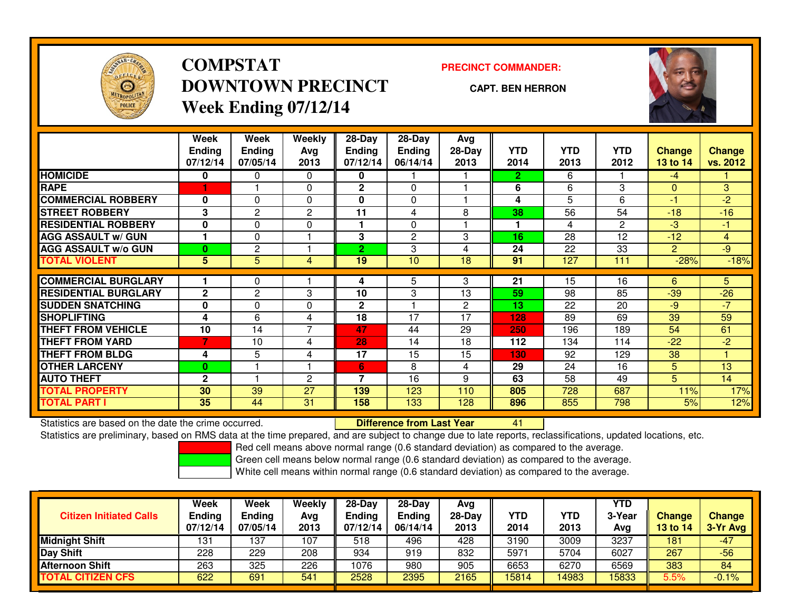

## **COMPSTATDOWNTOWN PRECINCTWeek Ending 07/12/14**

**PRECINCT COMMANDER:**

**CAPT. BEN HERRON**



|                             | Week          | Week           | Weekly         | $28-Day$       | $28-Day$       | Avg            |            |            |                |                |               |
|-----------------------------|---------------|----------------|----------------|----------------|----------------|----------------|------------|------------|----------------|----------------|---------------|
|                             | <b>Ending</b> | <b>Ending</b>  | Avg            | <b>Ending</b>  | <b>Ending</b>  | $28-Day$       | <b>YTD</b> | <b>YTD</b> | <b>YTD</b>     | <b>Change</b>  | <b>Change</b> |
|                             | 07/12/14      | 07/05/14       | 2013           | 07/12/14       | 06/14/14       | 2013           | 2014       | 2013       | 2012           | 13 to 14       | vs. 2012      |
| <b>HOMICIDE</b>             | 0             | 0              | 0              | 0              |                |                | 2.         | 6          |                | $-4$           |               |
| <b>RAPE</b>                 |               |                | 0              | $\mathbf 2$    | 0              |                | 6          | 6          | 3              | $\mathbf{0}$   | 3             |
| <b>COMMERCIAL ROBBERY</b>   | 0             | $\Omega$       | 0              | $\bf{0}$       | 0              |                | 4          | 5          | 6              | $-1$           | $-2$          |
| <b>STREET ROBBERY</b>       | 3             | $\overline{c}$ | $\mathbf{2}$   | 11             | 4              | 8              | 38         | 56         | 54             | $-18$          | $-16$         |
| <b>RESIDENTIAL ROBBERY</b>  | $\bf{0}$      | $\Omega$       | 0              |                | 0              |                |            | 4          | $\overline{2}$ | $-3$           | $-1$          |
| <b>AGG ASSAULT w/ GUN</b>   |               | $\mathbf 0$    |                | 3              | $\overline{c}$ | 3              | 16         | 28         | 12             | $-12$          | 4             |
| <b>AGG ASSAULT w/o GUN</b>  | $\mathbf{0}$  | 2              |                | $\overline{2}$ | 3              | 4              | 24         | 22         | 33             | $\overline{2}$ | $-9$          |
| <b>TOTAL VIOLENT</b>        | 5             | 5              | $\overline{4}$ | 19             | 10             | 18             | 91         | 127        | 111            | $-28%$         | $-18%$        |
|                             |               |                |                |                |                |                |            |            |                |                |               |
| <b>COMMERCIAL BURGLARY</b>  |               | 0              |                | 4              | 5              | 3              | 21         | 15         | 16             | 6              | 5.            |
| <b>RESIDENTIAL BURGLARY</b> | $\mathbf{2}$  | 2              | 3              | 10             | 3              | 13             | 59         | 98         | 85             | $-39$          | $-26$         |
| <b>SUDDEN SNATCHING</b>     | 0             | $\Omega$       | $\Omega$       | $\mathbf{2}$   |                | $\overline{2}$ | 13         | 22         | 20             | $-9$           | $-7$          |
| <b>SHOPLIFTING</b>          | 4             | 6              | 4              | 18             | 17             | 17             | 128        | 89         | 69             | 39             | 59            |
| <b>THEFT FROM VEHICLE</b>   | 10            | 14             | $\overline{7}$ | 47             | 44             | 29             | 250        | 196        | 189            | 54             | 61            |
| <b>THEFT FROM YARD</b>      |               | 10             | 4              | 28             | 14             | 18             | 112        | 134        | 114            | $-22$          | $-2$          |
| <b>THEFT FROM BLDG</b>      | 4             | 5              | 4              | 17             | 15             | 15             | 130        | 92         | 129            | 38             |               |
| <b>OTHER LARCENY</b>        | $\bf{0}$      |                |                | 6 <sup>1</sup> | 8              | 4              | 29         | 24         | 16             | 5              | 13            |
| <b>AUTO THEFT</b>           | $\mathbf{2}$  |                | $\mathbf{2}$   | 7              | 16             | 9              | 63         | 58         | 49             | 5              | 14            |
| <b>TOTAL PROPERTY</b>       | 30            | 39             | 27             | 139            | 123            | 110            | 805        | 728        | 687            | 11%            | 17%           |
| <b>TOTAL PART I</b>         | 35            | 44             | 31             | 158            | 133            | 128            | 896        | 855        | 798            | 5%             | 12%           |

Statistics are based on the date the crime occurred. **Difference from Last Year** 

Statistics are based on the date the crime occurred.<br>Statistics are preliminary, based on RMS data at the time prepared, and are subject to change due to late reports, reclassifications, updated locations, etc.

Red cell means above normal range (0.6 standard deviation) as compared to the average.

Green cell means below normal range (0.6 standard deviation) as compared to the average.

| <b>Citizen Initiated Calls</b> | Week<br><b>Ending</b><br>07/12/14 | <b>Week</b><br>Ending<br>07/05/14 | Weekly<br>Avg<br>2013 | $28-Dav$<br><b>Ending</b><br>07/12/14 | $28-Dav$<br><b>Ending</b><br>06/14/14 | Avg<br>28-Dav<br>2013 | YTD<br>2014 | YTD<br>2013 | <b>YTD</b><br>3-Year<br>Avg | <b>Change</b><br>13 to 14 | <b>Change</b><br>3-Yr Avg |
|--------------------------------|-----------------------------------|-----------------------------------|-----------------------|---------------------------------------|---------------------------------------|-----------------------|-------------|-------------|-----------------------------|---------------------------|---------------------------|
| <b>Midnight Shift</b>          | 131                               | 137                               | 107                   | 518                                   | 496                                   | 428                   | 3190        | 3009        | 3237                        | 181                       | $-47$                     |
| Day Shift                      | 228                               | 229                               | 208                   | 934                                   | 919                                   | 832                   | 5971        | 5704        | 6027                        | 267                       | $-56$                     |
| <b>Afternoon Shift</b>         | 263                               | 325                               | 226                   | 1076                                  | 980                                   | 905                   | 6653        | 6270        | 6569                        | 383                       | 84                        |
| TOTAL CITIZEN CFS              | 622                               | 691                               | 541                   | 2528                                  | 2395                                  | 2165                  | 15814       | 14983       | 15833                       | 5.5%                      | $-0.1%$                   |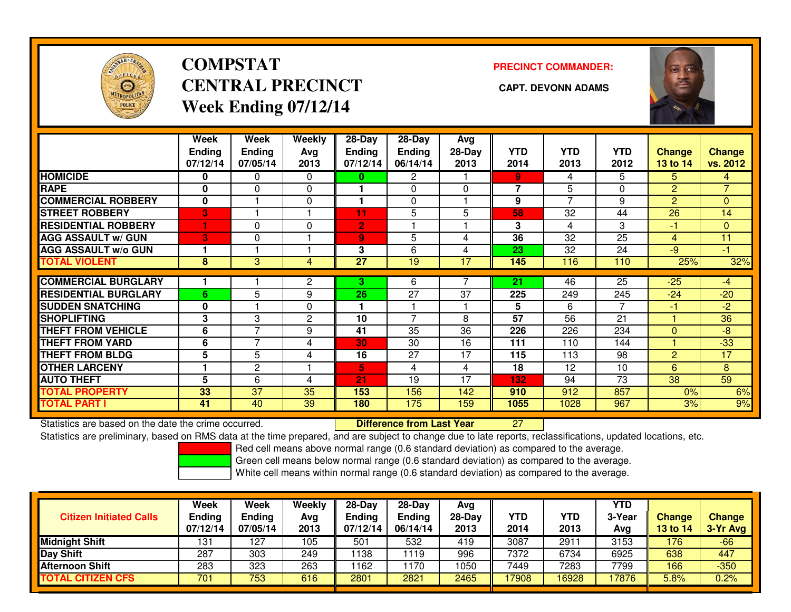

## **COMPSTATCENTRAL PRECINCT Week Ending 07/12/14**

**PRECINCT COMMANDER:**



|                             | Week<br><b>Ending</b> | Week<br>Ending | Weekly<br>Avg | $28-Day$<br><b>Ending</b> | $28 - Day$<br><b>Ending</b> | Avg<br>$28-Day$ | <b>YTD</b>      | <b>YTD</b>      | <b>YTD</b>      | <b>Change</b>  | <b>Change</b>  |
|-----------------------------|-----------------------|----------------|---------------|---------------------------|-----------------------------|-----------------|-----------------|-----------------|-----------------|----------------|----------------|
|                             | 07/12/14              | 07/05/14       | 2013          | 07/12/14                  | 06/14/14                    | 2013            | 2014            | 2013            | 2012            | 13 to 14       | vs. 2012       |
| <b>HOMICIDE</b>             | 0                     | 0              | $\mathbf{0}$  | 0                         | $\mathbf{2}$                |                 | 9               | 4               | 5               | 5.             | 4              |
| <b>RAPE</b>                 | $\bf{0}$              | $\Omega$       | $\Omega$      |                           | 0                           | 0               | 7               | 5               | $\Omega$        | 2              | $\overline{7}$ |
| <b>COMMERCIAL ROBBERY</b>   | $\bf{0}$              |                | $\Omega$      |                           | 0                           |                 | 9               | 7               | 9               | 2              | $\overline{0}$ |
| <b>STREET ROBBERY</b>       | 3                     |                |               | 11                        | 5                           | 5               | 58              | 32              | 44              | 26             | 14             |
| <b>RESIDENTIAL ROBBERY</b>  |                       | $\Omega$       | $\Omega$      | $\overline{2}$            |                             |                 | 3               | 4               | 3               | -1             | $\Omega$       |
| <b>AGG ASSAULT w/ GUN</b>   | 3                     | $\Omega$       |               | $\overline{9}$            | 5                           | 4               | $\overline{36}$ | $\overline{32}$ | $\overline{25}$ | $\overline{4}$ | 11             |
| <b>AGG ASSAULT w/o GUN</b>  |                       |                |               | 3                         | 6                           | 4               | 23              | 32              | 24              | $-9$           | $-1$           |
| <b>TOTAL VIOLENT</b>        | 8                     | 3              | 4             | 27                        | 19                          | 17              | 145             | 116             | 110             | 25%            | 32%            |
|                             |                       |                |               |                           |                             |                 |                 |                 |                 |                |                |
| <b>COMMERCIAL BURGLARY</b>  |                       |                | 2             | 3                         | 6                           |                 | 21              | 46              | 25              | $-25$          | $-4$           |
| <b>RESIDENTIAL BURGLARY</b> | 6                     | 5              | 9             | 26                        | 27                          | 37              | 225             | 249             | 245             | $-24$          | $-20$          |
| <b>SUDDEN SNATCHING</b>     | $\bf{0}$              |                | $\Omega$      |                           |                             |                 | 5               | 6               | 7               | -1             | $-2$           |
| <b>SHOPLIFTING</b>          | 3                     | 3              | 2             | 10                        | $\overline{7}$              | 8               | 57              | 56              | 21              |                | 36             |
| <b>THEFT FROM VEHICLE</b>   | 6                     | 7              | 9             | 41                        | 35                          | 36              | 226             | 226             | 234             | $\Omega$       | $-8$           |
| <b>THEFT FROM YARD</b>      | 6                     | $\overline{7}$ | 4             | 30                        | 30                          | 16              | 111             | 110             | 144             |                | $-33$          |
| <b>THEFT FROM BLDG</b>      | 5                     | 5              | 4             | 16                        | 27                          | 17              | 115             | 113             | 98              | 2              | 17             |
| <b>OTHER LARCENY</b>        |                       | 2              |               | 5                         | 4                           | 4               | 18              | 12              | 10              | 6              | 8              |
| <b>AUTO THEFT</b>           | 5                     | 6              | 4             | 21                        | 19                          | 17              | 132             | 94              | 73              | 38             | 59             |
| <b>TOTAL PROPERTY</b>       | 33                    | 37             | 35            | 153                       | 156                         | 142             | 910             | 912             | 857             | 0%             | 6%             |
| <b>TOTAL PART I</b>         | 41                    | 40             | 39            | 180                       | 175                         | 159             | 1055            | 1028            | 967             | 3%             | 9%             |

Statistics are based on the date the crime occurred. **Difference from Last Year** 

<sup>27</sup>

Statistics are preliminary, based on RMS data at the time prepared, and are subject to change due to late reports, reclassifications, updated locations, etc.

Red cell means above normal range (0.6 standard deviation) as compared to the average.

Green cell means below normal range (0.6 standard deviation) as compared to the average.

| <b>Ending</b><br><b>Citizen Initiated Calls</b><br>07/12/14 | Ending<br>07/05/14 | Avg<br>2013 | <b>Ending</b><br>07/12/14 | <b>Ending</b><br>06/14/14 | Avg<br>$28 - Day$<br>2013 | YTD<br>2014 | YTD<br>2013 | 3-Year<br>Ava | Change<br>13 to 14 | <b>Change</b><br>3-Yr Avg |
|-------------------------------------------------------------|--------------------|-------------|---------------------------|---------------------------|---------------------------|-------------|-------------|---------------|--------------------|---------------------------|
| <b>Midnight Shift</b><br>131                                | 127                | 105         | 501                       | 532                       | 419                       | 3087        | 2911        | 3153          | 176                | $-66$                     |
| 287<br><b>Day Shift</b>                                     | 303                | 249         | 1138                      | 119                       | 996                       | 7372        | 6734        | 6925          | 638                | 447                       |
| 283<br><b>Afternoon Shift</b>                               | 323                | 263         | 1162                      | 170                       | 1050                      | 7449        | 7283        | 7799          | 166                | $-350$                    |
| 701<br>TOTAL CITIZEN CFS                                    | 753                | 616         | 2801                      | 2821                      | 2465                      | 17908       | 16928       | 17876         | 5.8%               | $0.2\%$                   |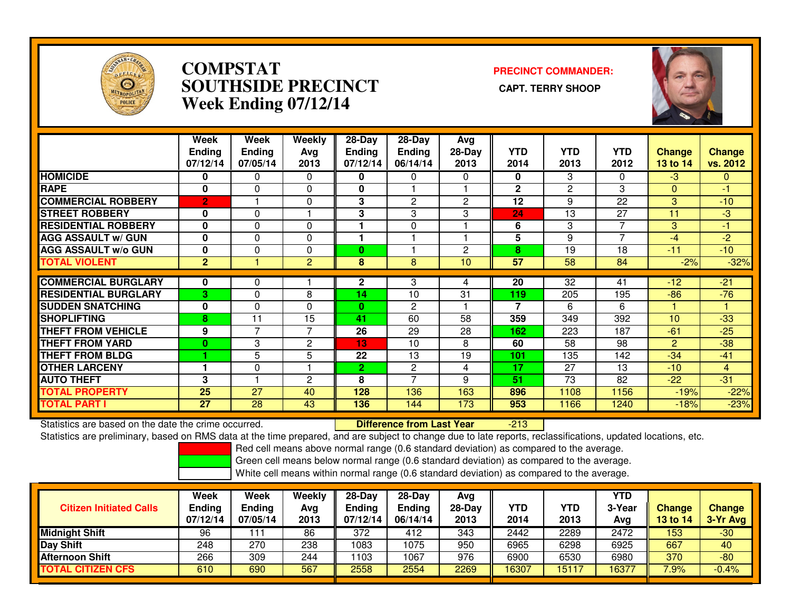

#### **COMPSTAT PRECINCT COMMANDER: SOUTHSIDE PRECINCT CAPT. TERRY SHOOPWeek Ending 07/12/14**



|                             | Week<br><b>Ending</b><br>07/12/14 | Week<br><b>Ending</b><br>07/05/14 | Weekly<br>Avg<br>2013 | 28-Day<br><b>Ending</b><br>07/12/14 | $28-Day$<br><b>Ending</b><br>06/14/14 | Avg<br>28-Day<br>2013 | <b>YTD</b><br>2014 | <b>YTD</b><br>2013 | <b>YTD</b><br>2012 | <b>Change</b><br>13 to 14 | <b>Change</b><br>vs. 2012 |
|-----------------------------|-----------------------------------|-----------------------------------|-----------------------|-------------------------------------|---------------------------------------|-----------------------|--------------------|--------------------|--------------------|---------------------------|---------------------------|
| <b>HOMICIDE</b>             | 0                                 | 0                                 | 0                     | 0                                   | 0                                     | 0                     | 0                  | 3                  | 0                  | $-3$                      | 0                         |
| <b>RAPE</b>                 | 0                                 | $\Omega$                          | $\Omega$              | O                                   |                                       |                       | $\mathbf{2}$       | 2                  | 3                  | $\Omega$                  | -1                        |
| <b>COMMERCIAL ROBBERY</b>   | $\overline{2}$                    |                                   | 0                     | 3                                   | $\mathbf{2}$                          | 2                     | 12                 | 9                  | 22                 | 3                         | $-10$                     |
| <b>ISTREET ROBBERY</b>      | 0                                 | $\Omega$                          |                       | 3                                   | 3                                     | 3                     | 24                 | 13                 | 27                 | 11                        | -3                        |
| <b>RESIDENTIAL ROBBERY</b>  | 0                                 | $\Omega$                          | $\Omega$              |                                     | 0                                     |                       | 6                  | 3                  | 7                  | 3                         | -1                        |
| <b>AGG ASSAULT w/ GUN</b>   | 0                                 | $\Omega$                          | $\Omega$              |                                     |                                       |                       | 5                  | 9                  | 7                  | -4                        | $-2$                      |
| <b>AGG ASSAULT w/o GUN</b>  | 0                                 | $\Omega$                          | 0                     | 0                                   |                                       | 2                     | 8                  | 19                 | 18                 | $-11$                     | $-10$                     |
| <b>TOTAL VIOLENT</b>        | $\overline{2}$                    |                                   | $\overline{2}$        | 8                                   | 8                                     | 10 <sup>1</sup>       | 57                 | 58                 | 84                 | $-2%$                     | $-32%$                    |
|                             |                                   |                                   |                       |                                     |                                       |                       |                    |                    |                    |                           |                           |
| <b>COMMERCIAL BURGLARY</b>  | 0                                 | 0                                 |                       | 2                                   | 3                                     | 4                     | 20                 | $\overline{32}$    | 41                 | $-12$                     | $-21$                     |
| <b>RESIDENTIAL BURGLARY</b> | 3                                 | $\Omega$                          | 8                     | 14                                  | 10                                    | 31                    | 119                | 205                | 195                | $-86$                     | $-76$                     |
| <b>SUDDEN SNATCHING</b>     | 0                                 | $\Omega$                          | $\Omega$              | $\mathbf{0}$                        | $\overline{2}$                        |                       | 7                  | 6                  | 6                  |                           |                           |
| <b>SHOPLIFTING</b>          | 8                                 | 11                                | 15                    | 41                                  | 60                                    | 58                    | 359                | 349                | 392                | 10                        | $-33$                     |
| <b>THEFT FROM VEHICLE</b>   | 9                                 | $\overline{ }$                    | $\overline{7}$        | 26                                  | 29                                    | 28                    | 162                | 223                | 187                | $-61$                     | $-25$                     |
| <b>THEFT FROM YARD</b>      | $\bf{0}$                          | 3                                 | $\overline{2}$        | 13                                  | 10                                    | 8                     | 60                 | 58                 | 98                 | $\overline{2}$            | $-38$                     |
| <b>THEFT FROM BLDG</b>      |                                   | 5                                 | 5                     | 22                                  | 13                                    | 19                    | 101                | 135                | 142                | $-34$                     | $-41$                     |
| <b>OTHER LARCENY</b>        | ۴                                 | $\Omega$                          |                       | $\overline{2}$                      | $\overline{2}$                        | 4                     | 17                 | 27                 | 13                 | $-10$                     | $\overline{4}$            |
| <b>AUTO THEFT</b>           | 3                                 |                                   | 2                     | 8                                   | 7                                     | 9                     | 51                 | 73                 | 82                 | $-22$                     | $-31$                     |
| <b>TOTAL PROPERTY</b>       | 25                                | 27                                | 40                    | 128                                 | 136                                   | 163                   | 896                | 1108               | 1156               | $-19%$                    | $-22%$                    |
| <b>TOTAL PART I</b>         | 27                                | 28                                | 43                    | 136                                 | 144                                   | 173                   | 953                | 1166               | 1240               | $-18%$                    | $-23%$                    |

Statistics are based on the date the crime occurred. **Difference from Last Year** 

-213

Statistics are preliminary, based on RMS data at the time prepared, and are subject to change due to late reports, reclassifications, updated locations, etc.

Red cell means above normal range (0.6 standard deviation) as compared to the average.

Green cell means below normal range (0.6 standard deviation) as compared to the average.

| <b>Citizen Initiated Calls</b> | <b>Week</b><br><b>Ending</b><br>07/12/14 | Week<br>Ending<br>07/05/14 | <b>Weekly</b><br>Avg<br>2013 | 28-Day<br><b>Ending</b><br>07/12/14 | $28-Dav$<br><b>Ending</b><br>06/14/14 | Avg<br>28-Day<br>2013 | YTD<br>2014 | YTD<br>2013 | <b>YTD</b><br>3-Year<br>Avg | Change<br>13 to 14 | <b>Change</b><br>3-Yr Avg |
|--------------------------------|------------------------------------------|----------------------------|------------------------------|-------------------------------------|---------------------------------------|-----------------------|-------------|-------------|-----------------------------|--------------------|---------------------------|
| <b>Midnight Shift</b>          | 96                                       |                            | 86                           | 372                                 | 412                                   | 343                   | 2442        | 2289        | 2472                        | 153                | $-30$                     |
| <b>Day Shift</b>               | 248                                      | 270                        | 238                          | 1083                                | 1075                                  | 950                   | 6965        | 6298        | 6925                        | 667                | 40                        |
| <b>Afternoon Shift</b>         | 266                                      | 309                        | 244                          | 1103                                | 1067                                  | 976                   | 6900        | 6530        | 6980                        | 370                | $-80$                     |
| <b>TOTAL CITIZEN CFS</b>       | 610                                      | 690                        | 567                          | 2558                                | 2554                                  | 2269                  | 16307       | 15117       | 16377                       | 7.9%               | $-0.4%$                   |